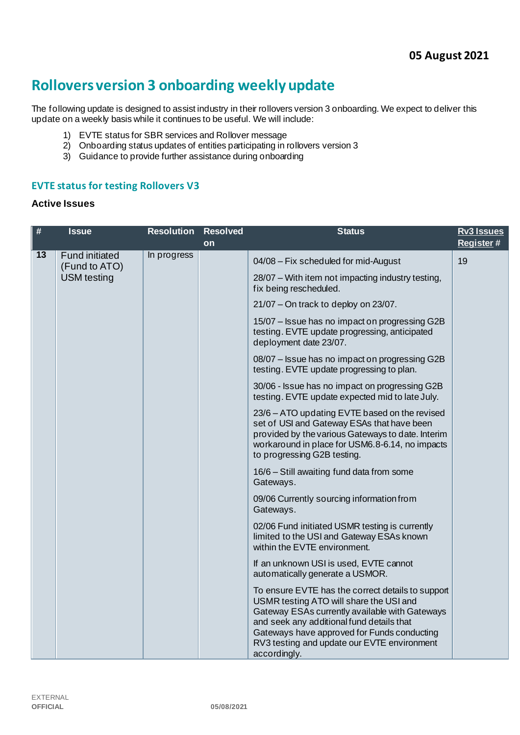# **Rollovers version 3 onboarding weekly update**

The following update is designed to assist industry in their rollovers version 3 onboarding. We expect to deliver this update on a weekly basis while it continues to be useful. We will include:

- 1) EVTE status for SBR services and Rollover message
- 2) Onboarding status updates of entities participating in rollovers version 3
- 3) Guidance to provide further assistance during onboarding

#### **EVTE status for testing Rollovers V3**

#### **Active Issues**

| #  | <b>Issue</b>                           | <b>Resolution</b> | <b>Resolved</b> | <b>Status</b>                                                                                                                                                                                                                                                                                             | <b>Rv3 Issues</b> |
|----|----------------------------------------|-------------------|-----------------|-----------------------------------------------------------------------------------------------------------------------------------------------------------------------------------------------------------------------------------------------------------------------------------------------------------|-------------------|
|    |                                        |                   | on              |                                                                                                                                                                                                                                                                                                           | Register#         |
| 13 | <b>Fund initiated</b><br>(Fund to ATO) | In progress       |                 | 04/08 - Fix scheduled for mid-August                                                                                                                                                                                                                                                                      | 19                |
|    | <b>USM</b> testing                     |                   |                 | 28/07 - With item not impacting industry testing,<br>fix being rescheduled.                                                                                                                                                                                                                               |                   |
|    |                                        |                   |                 | 21/07 - On track to deploy on 23/07.                                                                                                                                                                                                                                                                      |                   |
|    |                                        |                   |                 | 15/07 - Issue has no impact on progressing G2B<br>testing. EVTE update progressing, anticipated<br>deployment date 23/07.                                                                                                                                                                                 |                   |
|    |                                        |                   |                 | 08/07 - Issue has no impact on progressing G2B<br>testing. EVTE update progressing to plan.                                                                                                                                                                                                               |                   |
|    |                                        |                   |                 | 30/06 - Issue has no impact on progressing G2B<br>testing. EVTE update expected mid to late July.                                                                                                                                                                                                         |                   |
|    |                                        |                   |                 | 23/6 - ATO updating EVTE based on the revised<br>set of USI and Gateway ESAs that have been<br>provided by the various Gateways to date. Interim<br>workaround in place for USM6.8-6.14, no impacts<br>to progressing G2B testing.                                                                        |                   |
|    |                                        |                   |                 | 16/6 - Still awaiting fund data from some<br>Gateways.                                                                                                                                                                                                                                                    |                   |
|    |                                        |                   |                 | 09/06 Currently sourcing information from<br>Gateways.                                                                                                                                                                                                                                                    |                   |
|    |                                        |                   |                 | 02/06 Fund initiated USMR testing is currently<br>limited to the USI and Gateway ESAs known<br>within the EVTE environment.                                                                                                                                                                               |                   |
|    |                                        |                   |                 | If an unknown USI is used, EVTE cannot<br>automatically generate a USMOR.                                                                                                                                                                                                                                 |                   |
|    |                                        |                   |                 | To ensure EVTE has the correct details to support<br>USMR testing ATO will share the USI and<br>Gateway ESAs currently available with Gateways<br>and seek any additional fund details that<br>Gateways have approved for Funds conducting<br>RV3 testing and update our EVTE environment<br>accordingly. |                   |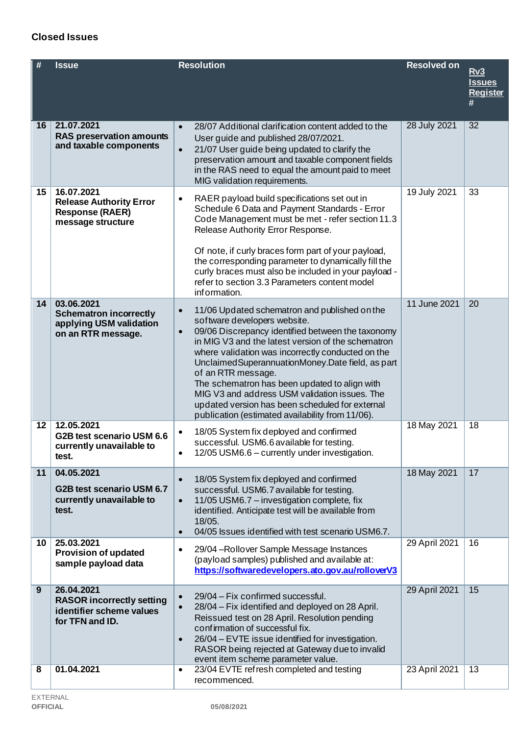# EXTERNAL<br>**OFFICIAL**

| # | <b>Issue</b> | <b>Resolution</b> | <b>Resolved on</b> | Rv3<br><u>Issu</u><br>Regi<br># |
|---|--------------|-------------------|--------------------|---------------------------------|
|   |              |                   |                    |                                 |

|    |                                                                                               |                                                                                                                                                                                                                                                                                                                                                                                                                                                                                                                                                               |               | #  |
|----|-----------------------------------------------------------------------------------------------|---------------------------------------------------------------------------------------------------------------------------------------------------------------------------------------------------------------------------------------------------------------------------------------------------------------------------------------------------------------------------------------------------------------------------------------------------------------------------------------------------------------------------------------------------------------|---------------|----|
| 16 | 21.07.2021<br><b>RAS preservation amounts</b><br>and taxable components                       | 28/07 Additional clarification content added to the<br>$\bullet$<br>User guide and published 28/07/2021.<br>21/07 User guide being updated to clarify the<br>$\bullet$<br>preservation amount and taxable component fields<br>in the RAS need to equal the amount paid to meet<br>MIG validation requirements.                                                                                                                                                                                                                                                | 28 July 2021  | 32 |
| 15 | 16.07.2021<br><b>Release Authority Error</b><br><b>Response (RAER)</b><br>message structure   | RAER payload build specifications set out in<br>$\bullet$<br>Schedule 6 Data and Payment Standards - Error<br>Code Management must be met - refer section 11.3<br>Release Authority Error Response.<br>Of note, if curly braces form part of your payload,<br>the corresponding parameter to dynamically fill the<br>curly braces must also be included in your payload -<br>refer to section 3.3 Parameters content model<br>information.                                                                                                                    | 19 July 2021  | 33 |
| 14 | 03.06.2021<br><b>Schematron incorrectly</b><br>applying USM validation<br>on an RTR message.  | 11/06 Updated schematron and published on the<br>$\bullet$<br>software developers website.<br>09/06 Discrepancy identified between the taxonomy<br>$\bullet$<br>in MIG V3 and the latest version of the schematron<br>where validation was incorrectly conducted on the<br>Unclaimed Superannuation Money. Date field, as part<br>of an RTR message.<br>The schematron has been updated to align with<br>MIG V3 and address USM validation issues. The<br>updated version has been scheduled for external<br>publication (estimated availability from 11/06). | 11 June 2021  | 20 |
| 12 | 12.05.2021<br>G2B test scenario USM 6.6<br>currently unavailable to<br>test.                  | 18/05 System fix deployed and confirmed<br>$\bullet$<br>successful. USM6.6 available for testing.<br>12/05 USM6.6 - currently under investigation.<br>$\bullet$                                                                                                                                                                                                                                                                                                                                                                                               | 18 May 2021   | 18 |
| 11 | 04.05.2021<br>G2B test scenario USM 6.7<br>currently unavailable to<br>test.                  | 18/05 System fix deployed and confirmed<br>$\bullet$<br>successful. USM6.7 available for testing<br>11/05 USM6.7 - investigation complete, fix<br>$\bullet$<br>identified. Anticipate test will be available from<br>18/05.<br>04/05 Issues identified with test scenario USM6.7.<br>$\bullet$                                                                                                                                                                                                                                                                | 18 May 2021   | 17 |
| 10 | 25.03.2021<br><b>Provision of updated</b><br>sample payload data                              | 29/04 - Rollover Sample Message Instances<br>$\bullet$<br>(payload samples) published and available at:<br>https://softwaredevelopers.ato.gov.au/rolloverV3                                                                                                                                                                                                                                                                                                                                                                                                   | 29 April 2021 | 16 |
| 9  | 26.04.2021<br><b>RASOR incorrectly setting</b><br>identifier scheme values<br>for TFN and ID. | 29/04 - Fix confirmed successful.<br>$\bullet$<br>28/04 – Fix identified and deployed on 28 April.<br>$\bullet$<br>Reissued test on 28 April. Resolution pending<br>confirmation of successful fix.<br>26/04 - EVTE issue identified for investigation.<br>$\bullet$<br>RASOR being rejected at Gateway due to invalid<br>event item scheme parameter value.                                                                                                                                                                                                  | 29 April 2021 | 15 |
| 8  | 01.04.2021                                                                                    | 23/04 EVTE refresh completed and testing<br>$\bullet$<br>recommenced.                                                                                                                                                                                                                                                                                                                                                                                                                                                                                         | 23 April 2021 | 13 |

**Rv3**<br><u>Issues</u> **[Register](https://www.ato.gov.au/uploadedFiles/Content/SPR/downloads/SuperStream_Rollovers_v3_Implementation_and_Onboarding_Issues_register.pdf)**

**OFFICIAL 05/08/2021**

## **Closed Issues**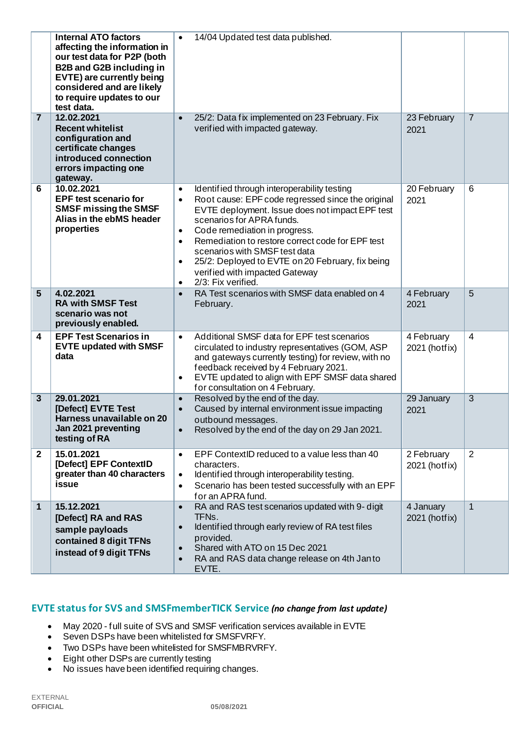|                | <b>Internal ATO factors</b><br>affecting the information in<br>our test data for P2P (both<br><b>B2B and G2B including in</b><br>EVTE) are currently being<br>considered and are likely<br>to require updates to our<br>test data. | $\bullet$                                                                  | 14/04 Updated test data published.                                                                                                                                                                                                                                                                                                                                                                                 |                             |                |
|----------------|------------------------------------------------------------------------------------------------------------------------------------------------------------------------------------------------------------------------------------|----------------------------------------------------------------------------|--------------------------------------------------------------------------------------------------------------------------------------------------------------------------------------------------------------------------------------------------------------------------------------------------------------------------------------------------------------------------------------------------------------------|-----------------------------|----------------|
| $\overline{7}$ | 12.02.2021<br><b>Recent whitelist</b><br>configuration and<br>certificate changes<br>introduced connection<br>errors impacting one<br>gateway.                                                                                     | $\bullet$                                                                  | 25/2: Data fix implemented on 23 February. Fix<br>verified with impacted gateway.                                                                                                                                                                                                                                                                                                                                  | 23 February<br>2021         | $\overline{7}$ |
| 6              | 10.02.2021<br><b>EPF test scenario for</b><br><b>SMSF missing the SMSF</b><br>Alias in the ebMS header<br>properties                                                                                                               | $\bullet$<br>$\bullet$<br>$\bullet$<br>$\bullet$<br>$\bullet$<br>$\bullet$ | Identified through interoperability testing<br>Root cause: EPF code regressed since the original<br>EVTE deployment. Issue does not impact EPF test<br>scenarios for APRA funds.<br>Code remediation in progress.<br>Remediation to restore correct code for EPF test<br>scenarios with SMSF test data<br>25/2: Deployed to EVTE on 20 February, fix being<br>verified with impacted Gateway<br>2/3: Fix verified. | 20 February<br>2021         | 6              |
| 5              | 4.02.2021<br><b>RA with SMSF Test</b><br>scenario was not<br>previously enabled.                                                                                                                                                   | $\bullet$                                                                  | RA Test scenarios with SMSF data enabled on 4<br>February.                                                                                                                                                                                                                                                                                                                                                         | 4 February<br>2021          | 5              |
| 4              | <b>EPF Test Scenarios in</b><br><b>EVTE updated with SMSF</b><br>data                                                                                                                                                              | $\bullet$<br>$\bullet$                                                     | Additional SMSF data for EPF test scenarios<br>circulated to industry representatives (GOM, ASP<br>and gateways currently testing) for review, with no<br>feedback received by 4 February 2021.<br>EVTE updated to align with EPF SMSF data shared<br>for consultation on 4 February.                                                                                                                              | 4 February<br>2021 (hotfix) | $\overline{4}$ |
| 3              | 29.01.2021<br>[Defect] EVTE Test<br>Harness unavailable on 20<br>Jan 2021 preventing<br>testing of RA                                                                                                                              | $\bullet$<br>$\bullet$<br>$\bullet$                                        | Resolved by the end of the day.<br>Caused by internal environment issue impacting<br>outbound messages.<br>Resolved by the end of the day on 29 Jan 2021.                                                                                                                                                                                                                                                          | 29 January<br>2021          | $\overline{3}$ |
| $\mathbf 2$    | 15.01.2021<br>[Defect] EPF ContextID<br>greater than 40 characters<br>issue                                                                                                                                                        | $\bullet$<br>$\bullet$<br>$\bullet$                                        | EPF ContextID reduced to a value less than 40<br>characters.<br>Identified through interoperability testing.<br>Scenario has been tested successfully with an EPF<br>for an APRA fund.                                                                                                                                                                                                                             | 2 February<br>2021 (hotfix) | 2              |
| 1              | 15.12.2021<br>[Defect] RA and RAS<br>sample payloads<br>contained 8 digit TFNs<br>instead of 9 digit TFNs                                                                                                                          | $\bullet$<br>$\bullet$<br>$\bullet$<br>$\bullet$                           | RA and RAS test scenarios updated with 9- digit<br>TFN <sub>s</sub> .<br>Identified through early review of RA test files<br>provided.<br>Shared with ATO on 15 Dec 2021<br>RA and RAS data change release on 4th Janto<br>EVTE.                                                                                                                                                                                   | 4 January<br>2021 (hotfix)  | $\mathbf{1}$   |

## **EVTE status for SVS and SMSFmemberTICK Service** *(no change from last update)*

- May 2020 full suite of SVS and SMSF verification services available in EVTE
- Seven DSPs have been whitelisted for SMSFVRFY.
- Two DSPs have been whitelisted for SMSFMBRVRFY.
- Eight other DSPs are currently testing
- No issues have been identified requiring changes.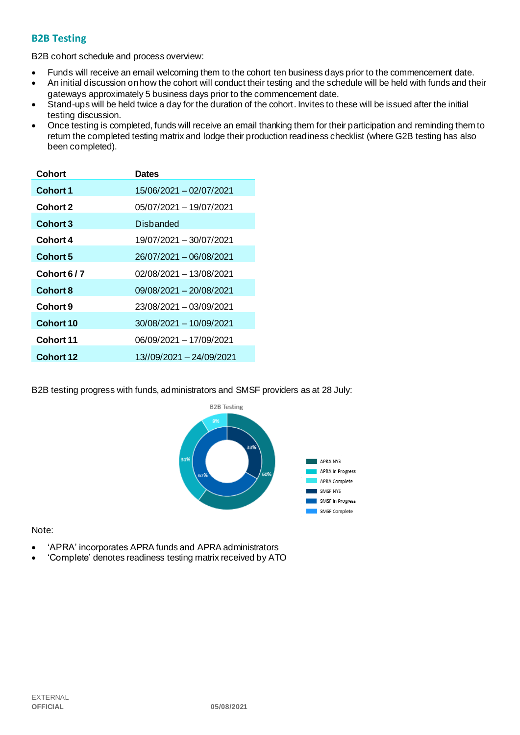### **B2B Testing**

B2B cohort schedule and process overview:

- Funds will receive an email welcoming them to the cohort ten business days prior to the commencement date.
- An initial discussion on how the cohort will conduct their testing and the schedule will be held with funds and their gateways approximately 5 business days prior to the commencement date.
- Stand-ups will be held twice a day for the duration of the cohort. Invites to these will be issued after the initial testing discussion.
- Once testing is completed, funds will receive an email thanking them for their participation and reminding them to return the completed testing matrix and lodge their production readiness checklist (where G2B testing has also been completed).

| Cohort           | <b>Dates</b>             |
|------------------|--------------------------|
| <b>Cohort 1</b>  | 15/06/2021 - 02/07/2021  |
| <b>Cohort 2</b>  | 05/07/2021 - 19/07/2021  |
| <b>Cohort 3</b>  | Disbanded                |
| Cohort 4         | 19/07/2021 - 30/07/2021  |
| Cohort 5         | 26/07/2021 - 06/08/2021  |
| Cohort 6/7       | 02/08/2021 - 13/08/2021  |
| <b>Cohort 8</b>  | 09/08/2021 - 20/08/2021  |
| Cohort 9         | 23/08/2021 - 03/09/2021  |
| Cohort 10        | 30/08/2021 - 10/09/2021  |
| Cohort 11        | 06/09/2021 - 17/09/2021  |
| <b>Cohort 12</b> | 13//09/2021 - 24/09/2021 |

B2B testing progress with funds, administrators and SMSF providers as at 28 July:



Note:

- 'APRA' incorporates APRA funds and APRA administrators
- 'Complete' denotes readiness testing matrix received by ATO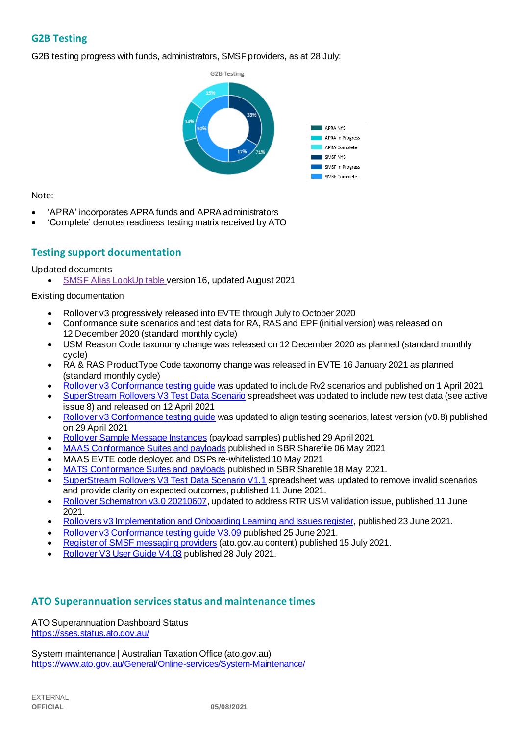## **G2B Testing**

G2B testing progress with funds, administrators, SMSF providers, as at 28 July:



#### Note:

- 'APRA' incorporates APRA funds and APRA administrators
- 'Complete' denotes readiness testing matrix received by ATO

### **Testing support documentation**

#### Updated documents

• [SMSF Alias LookUp table v](https://softwaredevelopers.ato.gov.au/sites/default/files/2021-08/SMSF_Alias_LookUp_version_16.xlsx)ersion 16, updated August 2021

#### Existing documentation

- Rollover v3 progressively released into EVTE through July to October 2020
- Conformance suite scenarios and test data for RA, RAS and EPF (initial version) was released on 12 December 2020 (standard monthly cycle)
- USM Reason Code taxonomy change was released on 12 December 2020 as planned (standard monthly cycle)
- RA & RAS ProductType Code taxonomy change was released in EVTE 16 January 2021 as planned (standard monthly cycle)
- [Rollover v3 Conformance testing guide](https://softwaredevelopers.ato.gov.au/rolloverV3) was updated to include Rv2 scenarios and published on 1 April 2021
- [SuperStream Rollovers V3 Test Data Scenario](https://softwaredevelopers.ato.gov.au/sites/default/files/2021-04/SuperStream_RolloversV3_Test_Data_Scenario_V1.0.xlsx) spreadsheet was updated to include new test data (see active issue 8) and released on 12 April 2021
- [Rollover v3 Conformance testing guide](https://softwaredevelopers.ato.gov.au/rolloverV3) was updated to align testing scenarios, latest version (v0.8) published on 29 April 2021
- [Rollover Sample Message Instances](https://softwaredevelopers.ato.gov.au/rolloverV3) (payload samples) published 29 April 2021
- [MAAS Conformance Suites and payloads](https://standardbusinessreporting.sharefile.com/home/shared/fod63f12-7bbb-4c61-96e7-33dc9eae4d9a) published in SBR Sharefile 06 May 2021
- MAAS EVTE code deployed and DSPs re-whitelisted 10 May 2021
- [MATS Conformance Suites and payloads](http://standardbusinessreporting.sharefile.com/) published in SBR Sharefile 18 May 2021.
- [SuperStream Rollovers V3 Test Data Scenario V1.1](https://softwaredevelopers.ato.gov.au/sites/default/files/2021-06/SuperStream_RolloversV3_Test_Data_Scenario_V1.1-1.xlsx) spreadsheet was updated to remove invalid scenarios and provide clarity on expected outcomes, published 11 June 2021.
- [Rollover Schematron v3.0 20210607](https://softwaredevelopers.ato.gov.au/sites/default/files/2021-06/Rollover_SPRROL.0003_Schematron_20210607-1.zip), updated to address RTR USM validation issue, published 11 June 2021.
- [Rollovers v3 Implementation and Onboarding Learning and Issues register](https://www.ato.gov.au/uploadedFiles/Content/SPR/downloads/SuperStream_Rollovers_v3_Implementation_and_Onboarding_Learning_Issues_register%20.pdf), published 23 June 2021.
- [Rollover v3 Conformance testing guide V3.09](https://softwaredevelopers.ato.gov.au/sites/default/files/2021-06/Rollover_V3_Conformance_Testing_Guide_version_3.09_Final.pdf) published 25 June 2021.
- [Register of SMSF messaging providers](https://www.ato.gov.au/Super/SuperStream/Self-managed-super-funds/Electronic-service-address/Register-of-SMSF-messaging-providers/) (ato.gov.au content) published 15 July 2021.
- [Rollover V3 User Guide V4.03](https://softwaredevelopers.ato.gov.au/sites/default/files/2021-07/Rollover_v3_User_Guide_V4.03_Final.pdf) published 28 July 2021.

#### **ATO Superannuation servicesstatus and maintenance times**

[ATO Superannuation Dashboard Status](https://sses.status.ato.gov.au/) <https://sses.status.ato.gov.au/>

[System maintenance | Australian Taxation Office \(ato.gov.au\)](https://www.ato.gov.au/General/Online-services/System-Maintenance/) <https://www.ato.gov.au/General/Online-services/System-Maintenance/>